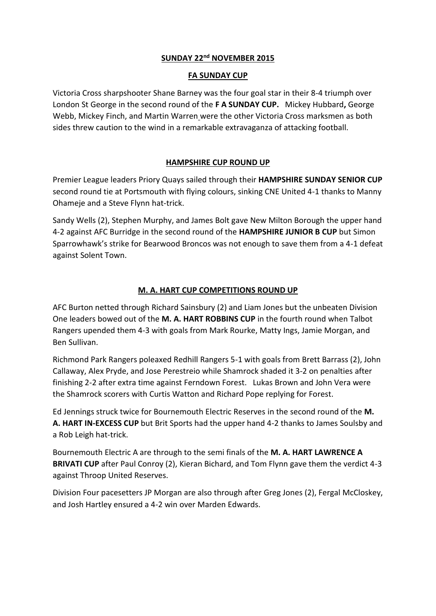# **SUNDAY 22nd NOVEMBER 2015**

### **FA SUNDAY CUP**

Victoria Cross sharpshooter Shane Barney was the four goal star in their 8-4 triumph over London St George in the second round of the **F A SUNDAY CUP.** Mickey Hubbard**,** George Webb, Mickey Finch, and Martin Warren were the other Victoria Cross marksmen as both sides threw caution to the wind in a remarkable extravaganza of attacking football.

# **HAMPSHIRE CUP ROUND UP**

Premier League leaders Priory Quays sailed through their **HAMPSHIRE SUNDAY SENIOR CUP** second round tie at Portsmouth with flying colours, sinking CNE United 4-1 thanks to Manny Ohameje and a Steve Flynn hat-trick.

Sandy Wells (2), Stephen Murphy, and James Bolt gave New Milton Borough the upper hand 4-2 against AFC Burridge in the second round of the **HAMPSHIRE JUNIOR B CUP** but Simon Sparrowhawk's strike for Bearwood Broncos was not enough to save them from a 4-1 defeat against Solent Town.

# **M. A. HART CUP COMPETITIONS ROUND UP**

AFC Burton netted through Richard Sainsbury (2) and Liam Jones but the unbeaten Division One leaders bowed out of the **M. A. HART ROBBINS CUP** in the fourth round when Talbot Rangers upended them 4-3 with goals from Mark Rourke, Matty Ings, Jamie Morgan, and Ben Sullivan.

Richmond Park Rangers poleaxed Redhill Rangers 5-1 with goals from Brett Barrass (2), John Callaway, Alex Pryde, and Jose Perestreio while Shamrock shaded it 3-2 on penalties after finishing 2-2 after extra time against Ferndown Forest. Lukas Brown and John Vera were the Shamrock scorers with Curtis Watton and Richard Pope replying for Forest.

Ed Jennings struck twice for Bournemouth Electric Reserves in the second round of the **M. A. HART IN-EXCESS CUP** but Brit Sports had the upper hand 4-2 thanks to James Soulsby and a Rob Leigh hat-trick.

Bournemouth Electric A are through to the semi finals of the **M. A. HART LAWRENCE A BRIVATI CUP** after Paul Conroy (2), Kieran Bichard, and Tom Flynn gave them the verdict 4-3 against Throop United Reserves.

Division Four pacesetters JP Morgan are also through after Greg Jones (2), Fergal McCloskey, and Josh Hartley ensured a 4-2 win over Marden Edwards.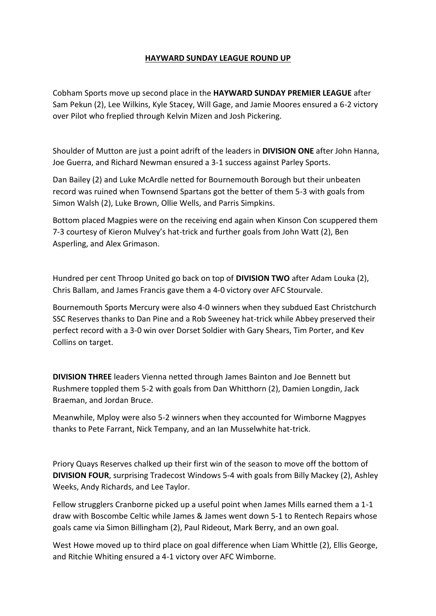# **HAYWARD SUNDAY LEAGUE ROUND UP**

Cobham Sports move up second place in the **HAYWARD SUNDAY PREMIER LEAGUE** after Sam Pekun (2), Lee Wilkins, Kyle Stacey, Will Gage, and Jamie Moores ensured a 6-2 victory over Pilot who freplied through Kelvin Mizen and Josh Pickering.

Shoulder of Mutton are just a point adrift of the leaders in **DIVISION ONE** after John Hanna, Joe Guerra, and Richard Newman ensured a 3-1 success against Parley Sports.

Dan Bailey (2) and Luke McArdle netted for Bournemouth Borough but their unbeaten record was ruined when Townsend Spartans got the better of them 5-3 with goals from Simon Walsh (2), Luke Brown, Ollie Wells, and Parris Simpkins.

Bottom placed Magpies were on the receiving end again when Kinson Con scuppered them 7-3 courtesy of Kieron Mulvey's hat-trick and further goals from John Watt (2), Ben Asperling, and Alex Grimason.

Hundred per cent Throop United go back on top of **DIVISION TWO** after Adam Louka (2), Chris Ballam, and James Francis gave them a 4-0 victory over AFC Stourvale.

Bournemouth Sports Mercury were also 4-0 winners when they subdued East Christchurch SSC Reserves thanks to Dan Pine and a Rob Sweeney hat-trick while Abbey preserved their perfect record with a 3-0 win over Dorset Soldier with Gary Shears, Tim Porter, and Kev Collins on target.

**DIVISION THREE** leaders Vienna netted through James Bainton and Joe Bennett but Rushmere toppled them 5-2 with goals from Dan Whitthorn (2), Damien Longdin, Jack Braeman, and Jordan Bruce.

Meanwhile, Mploy were also 5-2 winners when they accounted for Wimborne Magpyes thanks to Pete Farrant, Nick Tempany, and an Ian Musselwhite hat-trick.

Priory Quays Reserves chalked up their first win of the season to move off the bottom of **DIVISION FOUR**, surprising Tradecost Windows 5-4 with goals from Billy Mackey (2), Ashley Weeks, Andy Richards, and Lee Taylor.

Fellow strugglers Cranborne picked up a useful point when James Mills earned them a 1-1 draw with Boscombe Celtic while James & James went down 5-1 to Rentech Repairs whose goals came via Simon Billingham (2), Paul Rideout, Mark Berry, and an own goal.

West Howe moved up to third place on goal difference when Liam Whittle (2), Ellis George, and Ritchie Whiting ensured a 4-1 victory over AFC Wimborne.